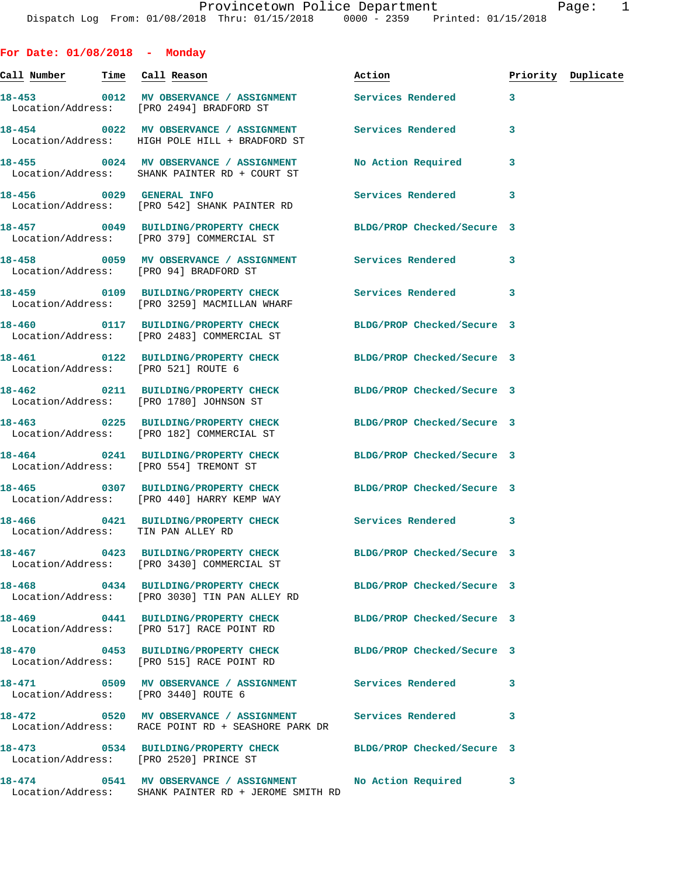**For Date: 01/08/2018 - Monday Call Number Time Call Reason Action Priority Duplicate 18-453 0012 MV OBSERVANCE / ASSIGNMENT Services Rendered 3**  Location/Address: [PRO 2494] BRADFORD ST **18-454 0022 MV OBSERVANCE / ASSIGNMENT Services Rendered 3**  Location/Address: HIGH POLE HILL + BRADFORD ST **18-455 0024 MV OBSERVANCE / ASSIGNMENT No Action Required 3**  Location/Address: SHANK PAINTER RD + COURT ST **18-456 0029 GENERAL INFO Services Rendered 3**  Location/Address: [PRO 542] SHANK PAINTER RD **18-457 0049 BUILDING/PROPERTY CHECK BLDG/PROP Checked/Secure 3**  Location/Address: [PRO 379] COMMERCIAL ST **18-458 0059 MV OBSERVANCE / ASSIGNMENT Services Rendered 3**  Location/Address: [PRO 94] BRADFORD ST **18-459 0109 BUILDING/PROPERTY CHECK Services Rendered 3**  Location/Address: [PRO 3259] MACMILLAN WHARF **18-460 0117 BUILDING/PROPERTY CHECK BLDG/PROP Checked/Secure 3**  Location/Address: [PRO 2483] COMMERCIAL ST **18-461 0122 BUILDING/PROPERTY CHECK BLDG/PROP Checked/Secure 3**  Location/Address: [PRO 521] ROUTE 6 **18-462 0211 BUILDING/PROPERTY CHECK BLDG/PROP Checked/Secure 3**  Location/Address: [PRO 1780] JOHNSON ST **18-463 0225 BUILDING/PROPERTY CHECK BLDG/PROP Checked/Secure 3**  Location/Address: [PRO 182] COMMERCIAL ST **18-464 0241 BUILDING/PROPERTY CHECK BLDG/PROP Checked/Secure 3**  Location/Address: [PRO 554] TREMONT ST **18-465 0307 BUILDING/PROPERTY CHECK BLDG/PROP Checked/Secure 3**  Location/Address: [PRO 440] HARRY KEMP WAY **18-466 0421 BUILDING/PROPERTY CHECK Services Rendered 3**  Location/Address: TIN PAN ALLEY RD **18-467 0423 BUILDING/PROPERTY CHECK BLDG/PROP Checked/Secure 3**  Location/Address: [PRO 3430] COMMERCIAL ST **18-468 0434 BUILDING/PROPERTY CHECK BLDG/PROP Checked/Secure 3**  Location/Address: [PRO 3030] TIN PAN ALLEY RD **18-469 0441 BUILDING/PROPERTY CHECK BLDG/PROP Checked/Secure 3**  Location/Address: [PRO 517] RACE POINT RD **18-470 0453 BUILDING/PROPERTY CHECK BLDG/PROP Checked/Secure 3**  Location/Address: [PRO 515] RACE POINT RD **18-471 0509 MV OBSERVANCE / ASSIGNMENT Services Rendered 3**  Location/Address: [PRO 3440] ROUTE 6 **18-472 0520 MV OBSERVANCE / ASSIGNMENT Services Rendered 3**  Location/Address: RACE POINT RD + SEASHORE PARK DR **18-473 0534 BUILDING/PROPERTY CHECK BLDG/PROP Checked/Secure 3**  Location/Address:

**18-474 0541 MV OBSERVANCE / ASSIGNMENT No Action Required 3**  Location/Address: SHANK PAINTER RD + JEROME SMITH RD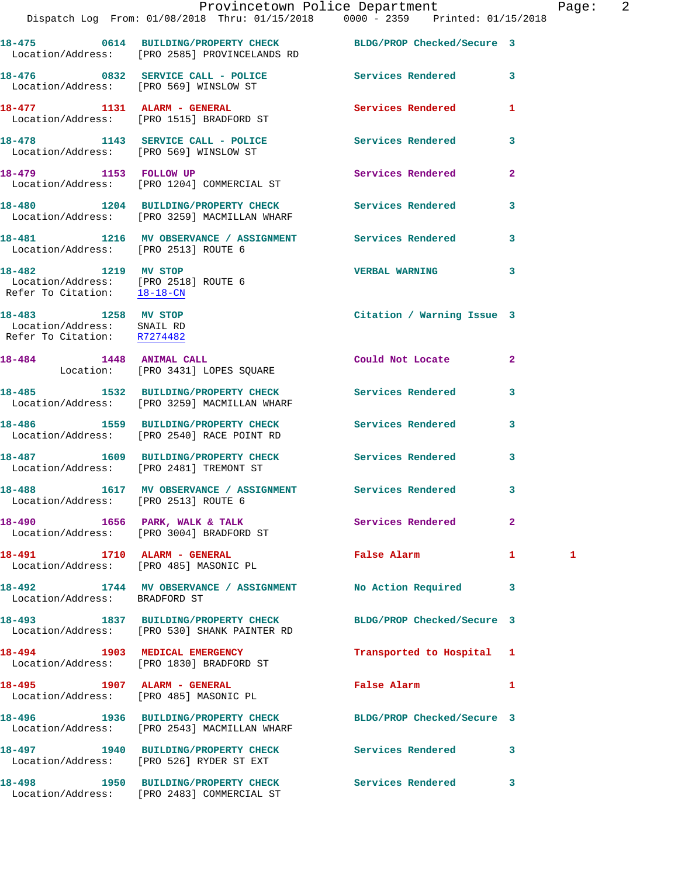|                                                                                            | Dispatch Log From: 01/08/2018 Thru: 01/15/2018 0000 - 2359 Printed: 01/15/2018                                  | Provincetown Police Department |                | Pag |
|--------------------------------------------------------------------------------------------|-----------------------------------------------------------------------------------------------------------------|--------------------------------|----------------|-----|
|                                                                                            | 18-475 0614 BUILDING/PROPERTY CHECK BLDG/PROP Checked/Secure 3<br>Location/Address: [PRO 2585] PROVINCELANDS RD |                                |                |     |
|                                                                                            | 18-476 		 0832 SERVICE CALL - POLICE 		 Services Rendered<br>Location/Address: [PRO 569] WINSLOW ST             |                                | 3              |     |
|                                                                                            | 18-477 1131 ALARM - GENERAL<br>Location/Address: [PRO 1515] BRADFORD ST                                         | <b>Services Rendered</b>       | 1              |     |
|                                                                                            | 18-478 1143 SERVICE CALL - POLICE<br>Location/Address: [PRO 569] WINSLOW ST                                     | Services Rendered              | 3              |     |
|                                                                                            | 18-479 1153 FOLLOW UP<br>Location/Address: [PRO 1204] COMMERCIAL ST                                             | Services Rendered              | $\overline{a}$ |     |
|                                                                                            | 18-480 1204 BUILDING/PROPERTY CHECK<br>Location/Address: [PRO 3259] MACMILLAN WHARF                             | Services Rendered              | 3              |     |
| Location/Address: [PRO 2513] ROUTE 6                                                       | 18-481 1216 MV OBSERVANCE / ASSIGNMENT Services Rendered                                                        |                                | 3              |     |
| 18-482 1219 MV STOP<br>Location/Address: [PRO 2518] ROUTE 6<br>Refer To Citation: 18-18-CN |                                                                                                                 | <b>VERBAL WARNING</b>          | 3              |     |
| 18-483 1258 MV STOP<br>Location/Address: SNAIL RD<br>Refer To Citation: R7274482           |                                                                                                                 | Citation / Warning Issue 3     |                |     |
|                                                                                            | 18-484 1448 ANIMAL CALL<br>Location: [PRO 3431] LOPES SQUARE                                                    | Could Not Locate               | $\mathbf{2}$   |     |
|                                                                                            | 18-485 1532 BUILDING/PROPERTY CHECK<br>Location/Address: [PRO 3259] MACMILLAN WHARF                             | Services Rendered              | 3              |     |
|                                                                                            | 18-486 1559 BUILDING/PROPERTY CHECK<br>Location/Address: [PRO 2540] RACE POINT RD                               | Services Rendered              | 3              |     |
|                                                                                            | 18-487 1609 BUILDING/PROPERTY CHECK<br>Location/Address: [PRO 2481] TREMONT ST                                  | <b>Services Rendered</b>       | 3              |     |
| Location/Address: [PRO 2513] ROUTE 6                                                       | 18-488 1617 MV OBSERVANCE / ASSIGNMENT Services Rendered                                                        |                                | 3              |     |
|                                                                                            | 18-490 1656 PARK, WALK & TALK<br>Location/Address: [PRO 3004] BRADFORD ST                                       | Services Rendered              | $\overline{a}$ |     |
|                                                                                            | 18-491 1710 ALARM - GENERAL<br>Location/Address: [PRO 485] MASONIC PL                                           | False Alarm                    | 1              | 1   |
| Location/Address: BRADFORD ST                                                              | 18-492 1744 MV OBSERVANCE / ASSIGNMENT No Action Required                                                       |                                | 3              |     |
|                                                                                            | 18-493 1837 BUILDING/PROPERTY CHECK<br>Location/Address: [PRO 530] SHANK PAINTER RD                             | BLDG/PROP Checked/Secure 3     |                |     |
|                                                                                            | 18-494 1903 MEDICAL EMERGENCY<br>Location/Address: [PRO 1830] BRADFORD ST                                       | Transported to Hospital        | 1              |     |
|                                                                                            | 18-495 1907 ALARM - GENERAL<br>Location/Address: [PRO 485] MASONIC PL                                           | False Alarm                    | 1              |     |
|                                                                                            | 18-496 1936 BUILDING/PROPERTY CHECK BLDG/PROP Checked/Secure 3<br>Location/Address: [PRO 2543] MACMILLAN WHARF  |                                |                |     |
|                                                                                            | 18-497 1940 BUILDING/PROPERTY CHECK<br>Location/Address: [PRO 526] RYDER ST EXT                                 | Services Rendered              | 3              |     |
|                                                                                            | 18-498 1950 BUILDING/PROPERTY CHECK                                                                             | Services Rendered              | 3              |     |

Location/Address: [PRO 2483] COMMERCIAL ST

age: 2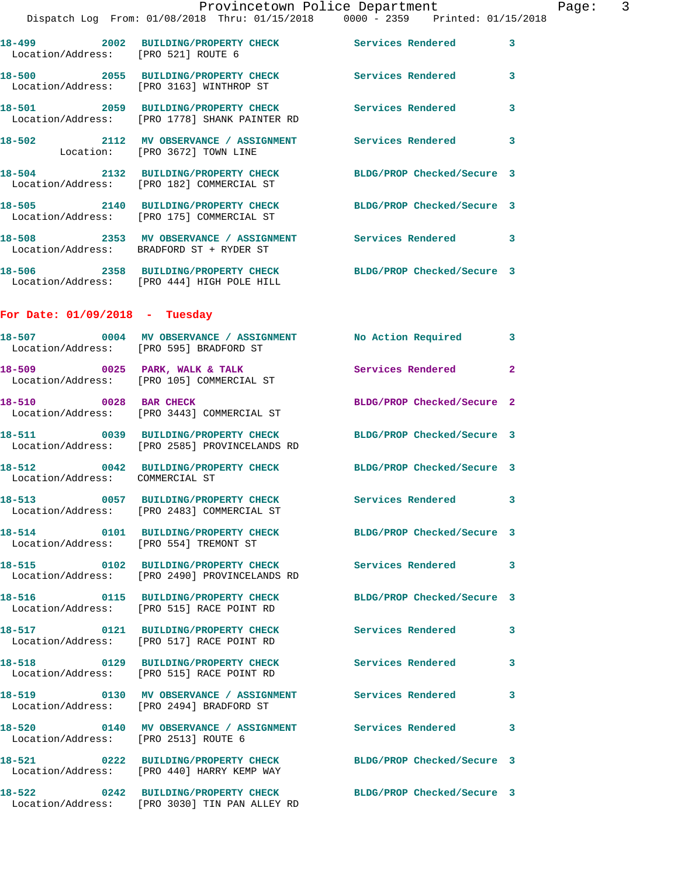| Location/Address: [PRO 521] ROUTE 6                                | 18-499 2002 BUILDING/PROPERTY CHECK Services Rendered 3                                                      |                            |                         |
|--------------------------------------------------------------------|--------------------------------------------------------------------------------------------------------------|----------------------------|-------------------------|
|                                                                    | 18-500 2055 BUILDING/PROPERTY CHECK<br>Location/Address: [PRO 3163] WINTHROP ST                              | Services Rendered          | 3                       |
|                                                                    | 18-501 2059 BUILDING/PROPERTY CHECK Services Rendered 3<br>Location/Address: [PRO 1778] SHANK PAINTER RD     |                            |                         |
| 18-502 1112 MV OBSERVANCE / ASSI<br>Location: [PRO 3672] TOWN LINE | 2112 MV OBSERVANCE / ASSIGNMENT Services Rendered 3                                                          |                            |                         |
|                                                                    | 18-504 2132 BUILDING/PROPERTY CHECK BLDG/PROP Checked/Secure 3<br>Location/Address: [PRO 182] COMMERCIAL ST  |                            |                         |
|                                                                    | 18-505 2140 BUILDING/PROPERTY CHECK<br>Location/Address: [PRO 175] COMMERCIAL ST                             | BLDG/PROP Checked/Secure 3 |                         |
|                                                                    | 18-508 2353 MV OBSERVANCE / ASSIGNMENT Services Rendered 3<br>Location/Address: BRADFORD ST + RYDER ST       |                            |                         |
|                                                                    | 18-506 2358 BUILDING/PROPERTY CHECK BLDG/PROP Checked/Secure 3<br>Location/Address: [PRO 444] HIGH POLE HILL |                            |                         |
| For Date: $01/09/2018$ - Tuesday                                   |                                                                                                              |                            |                         |
|                                                                    | 18-507 0004 MV OBSERVANCE / ASSIGNMENT No Action Required 3<br>Location/Address: [PRO 595] BRADFORD ST       |                            |                         |
|                                                                    | 18-509 0025 PARK, WALK & TALK<br>Location/Address: [PRO 105] COMMERCIAL ST                                   | Services Rendered          | $\overline{2}$          |
| 18-510 0028 BAR CHECK                                              | Location/Address: [PRO 3443] COMMERCIAL ST                                                                   | BLDG/PROP Checked/Secure 2 |                         |
|                                                                    | 18-511 0039 BUILDING/PROPERTY CHECK<br>Location/Address: [PRO 2585] PROVINCELANDS RD                         | BLDG/PROP Checked/Secure 3 |                         |
| Location/Address: COMMERCIAL ST                                    | 18-512 0042 BUILDING/PROPERTY CHECK BLDG/PROP Checked/Secure 3                                               |                            |                         |
|                                                                    | 18-513 0057 BUILDING/PROPERTY CHECK<br>Location/Address: [PRO 2483] COMMERCIAL ST                            | Services Rendered 3        |                         |
| Location/Address: [PRO 554] TREMONT ST                             | 18-514 0101 BUILDING/PROPERTY CHECK                                                                          | BLDG/PROP Checked/Secure 3 |                         |
|                                                                    | 18-515 0102 BUILDING/PROPERTY CHECK<br>Location/Address: [PRO 2490] PROVINCELANDS RD                         | <b>Services Rendered</b>   | $\overline{\mathbf{3}}$ |
|                                                                    | 18-516 0115 BUILDING/PROPERTY CHECK<br>Location/Address: [PRO 515] RACE POINT RD                             | BLDG/PROP Checked/Secure 3 |                         |
|                                                                    | 18-517 0121 BUILDING/PROPERTY CHECK<br>Location/Address: [PRO 517] RACE POINT RD                             | <b>Services Rendered</b>   | 3                       |
|                                                                    | 18-518 0129 BUILDING/PROPERTY CHECK<br>Location/Address: [PRO 515] RACE POINT RD                             | <b>Services Rendered</b>   | 3                       |
|                                                                    | 18-519 0130 MV OBSERVANCE / ASSIGNMENT Services Rendered<br>Location/Address: [PRO 2494] BRADFORD ST         |                            | 3                       |
| 18-520<br>Location/Address: [PRO 2513] ROUTE 6                     | 0140 MV OBSERVANCE / ASSIGNMENT Services Rendered                                                            |                            | 3                       |
|                                                                    | 18-521 0222 BUILDING/PROPERTY CHECK<br>Location/Address: [PRO 440] HARRY KEMP WAY                            | BLDG/PROP Checked/Secure 3 |                         |
|                                                                    | 18-522 0242 BUILDING/PROPERTY CHECK<br>Location/Address: [PRO 3030] TIN PAN ALLEY RD                         | BLDG/PROP Checked/Secure 3 |                         |
|                                                                    |                                                                                                              |                            |                         |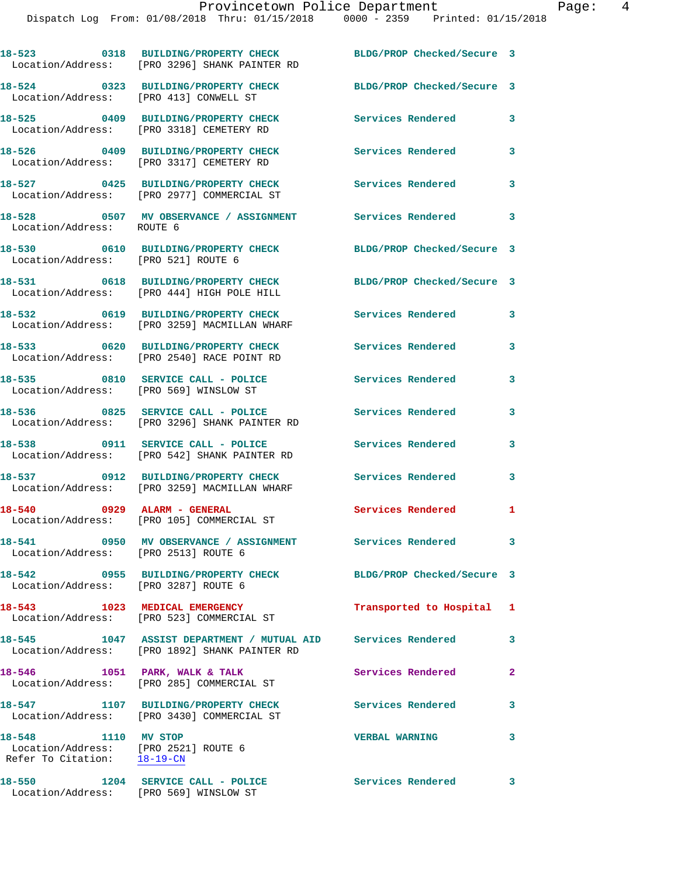Dispatch Log From: 01/08/2018 Thru: 01/15/2018 0000 - 2359 Printed: 01/15/2018

**18-523 0318 BUILDING/PROPERTY CHECK BLDG/PROP Checked/Secure 3**  Location/Address: [PRO 3296] SHANK PAINTER RD **18-524 0323 BUILDING/PROPERTY CHECK BLDG/PROP Checked/Secure 3**  Location/Address: [PRO 413] CONWELL ST **18-525 0409 BUILDING/PROPERTY CHECK Services Rendered 3**  Location/Address: [PRO 3318] CEMETERY RD **18-526 0409 BUILDING/PROPERTY CHECK Services Rendered 3**  Location/Address: [PRO 3317] CEMETERY RD **18-527 0425 BUILDING/PROPERTY CHECK Services Rendered 3**  Location/Address: [PRO 2977] COMMERCIAL ST **18-528 0507 MV OBSERVANCE / ASSIGNMENT Services Rendered 3**  Location/Address: ROUTE 6 **18-530 0610 BUILDING/PROPERTY CHECK BLDG/PROP Checked/Secure 3**  Location/Address: [PRO 521] ROUTE 6 **18-531 0618 BUILDING/PROPERTY CHECK BLDG/PROP Checked/Secure 3**  Location/Address: [PRO 444] HIGH POLE HILL **18-532 0619 BUILDING/PROPERTY CHECK Services Rendered 3**  Location/Address: [PRO 3259] MACMILLAN WHARF **18-533 0620 BUILDING/PROPERTY CHECK Services Rendered 3**  Location/Address: [PRO 2540] RACE POINT RD **18-535 0810 SERVICE CALL - POLICE Services Rendered 3**  Location/Address: [PRO 569] WINSLOW ST **18-536 0825 SERVICE CALL - POLICE Services Rendered 3**  Location/Address: [PRO 3296] SHANK PAINTER RD **18-538 0911 SERVICE CALL - POLICE Services Rendered 3**  Location/Address: [PRO 542] SHANK PAINTER RD **18-537 0912 BUILDING/PROPERTY CHECK Services Rendered 3**  Location/Address: [PRO 3259] MACMILLAN WHARF **18-540 0929 ALARM - GENERAL Services Rendered 1**  Location/Address: [PRO 105] COMMERCIAL ST **18-541 0950 MV OBSERVANCE / ASSIGNMENT Services Rendered 3**  Location/Address: [PRO 2513] ROUTE 6 **18-542 0955 BUILDING/PROPERTY CHECK BLDG/PROP Checked/Secure 3**  Location/Address: [PRO 3287] ROUTE 6 **18-543 1023 MEDICAL EMERGENCY Transported to Hospital 1**  Location/Address: [PRO 523] COMMERCIAL ST **18-545 1047 ASSIST DEPARTMENT / MUTUAL AID Services Rendered 3**  Location/Address: [PRO 1892] SHANK PAINTER RD 18-546 1051 PARK, WALK & TALK **Services Rendered** 2 Location/Address: [PRO 285] COMMERCIAL ST **18-547 1107 BUILDING/PROPERTY CHECK Services Rendered 3**  Location/Address: [PRO 3430] COMMERCIAL ST **18-548 1110 MV STOP VERBAL WARNING 3**  Location/Address: [PRO 2521] ROUTE 6 Refer To Citation: 18-19-CN **18-550 1204 SERVICE CALL - POLICE Services Rendered 3**  Location/Address: [PRO 569] WINSLOW ST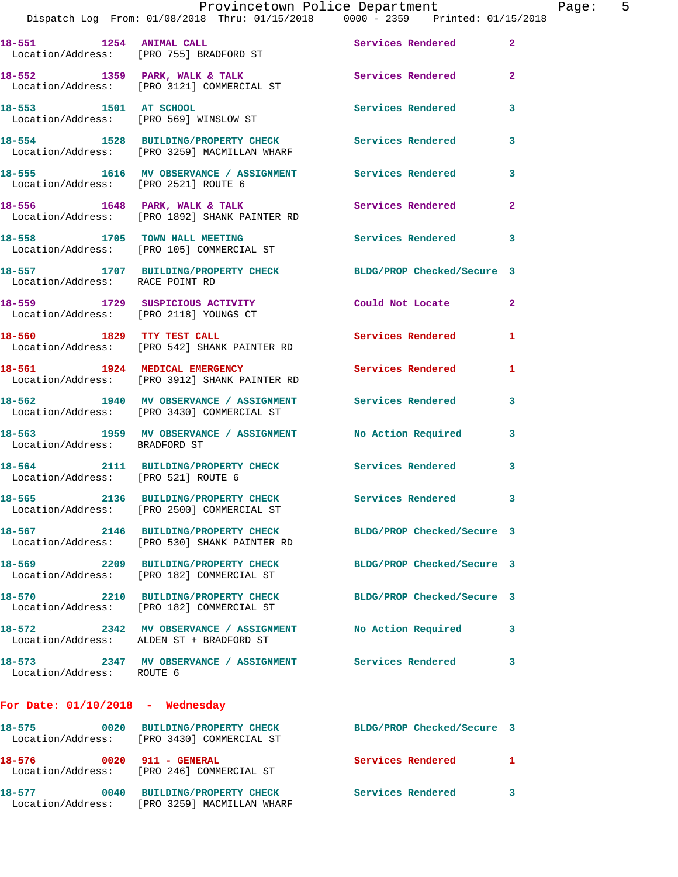|                                        | Provincetown Police Department<br>Dispatch Log From: 01/08/2018 Thru: 01/15/2018 0000 - 2359 Printed: 01/15/2018 |                          |                         |
|----------------------------------------|------------------------------------------------------------------------------------------------------------------|--------------------------|-------------------------|
|                                        | 18-551 1254 ANIMAL CALL Services Rendered<br>Location/Address: [PRO 755] BRADFORD ST                             |                          | $\mathbf{2}$            |
|                                        | 18-552 1359 PARK, WALK & TALK 1999 Services Rendered<br>Location/Address: [PRO 3121] COMMERCIAL ST               |                          | $\overline{2}$          |
| 18-553 1501 AT SCHOOL                  | Location/Address: [PRO 569] WINSLOW ST                                                                           | Services Rendered        | $\overline{\mathbf{3}}$ |
|                                        | 18-554 1528 BUILDING/PROPERTY CHECK Services Rendered<br>Location/Address: [PRO 3259] MACMILLAN WHARF            |                          | $\overline{\mathbf{3}}$ |
| Location/Address: [PRO 2521] ROUTE 6   | 18-555 1616 MV OBSERVANCE / ASSIGNMENT Services Rendered                                                         |                          | $\overline{\mathbf{3}}$ |
|                                        | 18-556 1648 PARK, WALK & TALK 18 Services Rendered<br>Location/Address: [PRO 1892] SHANK PAINTER RD              |                          | $\overline{2}$          |
|                                        | 18-558 1705 TOWN HALL MEETING Services Rendered<br>Location/Address: [PRO 105] COMMERCIAL ST                     |                          | $\overline{\mathbf{3}}$ |
| Location/Address: RACE POINT RD        | 18-557 1707 BUILDING/PROPERTY CHECK BLDG/PROP Checked/Secure 3                                                   |                          |                         |
| Location/Address: [PRO 2118] YOUNGS CT | 18-559 1729 SUSPICIOUS ACTIVITY Could Not Locate                                                                 |                          | $\overline{2}$          |
|                                        | 18-560 1829 TTY TEST CALL<br>Location/Address: [PRO 542] SHANK PAINTER RD                                        | <b>Services Rendered</b> | 1                       |

**18-561** 1924 MEDICAL EMERGENCY Services Rendered 1 Location/Address: [PRO 3912] SHANK PAINTER RD

**18-562 1940 MV OBSERVANCE / ASSIGNMENT Services Rendered 3**  Location/Address: [PRO 3430] COMMERCIAL ST

18-563 1959 MV OBSERVANCE / ASSIGNMENT No Action Required 3 Location/Address: BRADFORD ST

**18-564 2111 BUILDING/PROPERTY CHECK Services Rendered 3**  Location/Address: [PRO 521] ROUTE 6

**18-565 2136 BUILDING/PROPERTY CHECK Services Rendered 3**  Location/Address: [PRO 2500] COMMERCIAL ST

**18-567 2146 BUILDING/PROPERTY CHECK BLDG/PROP Checked/Secure 3**  Location/Address: [PRO 530] SHANK PAINTER RD

**18-569 2209 BUILDING/PROPERTY CHECK BLDG/PROP Checked/Secure 3**  Location/Address: [PRO 182] COMMERCIAL ST

**18-570 2210 BUILDING/PROPERTY CHECK BLDG/PROP Checked/Secure 3**  Location/Address: [PRO 182] COMMERCIAL ST

**18-572 2342 MV OBSERVANCE / ASSIGNMENT No Action Required 3** 

Location/Address: ROUTE 6

**18-573 2347 MV OBSERVANCE / ASSIGNMENT Services Rendered 3** 

Location/Address: ALDEN ST + BRADFORD ST

**For Date: 01/10/2018 - Wednesday**

**18-575 0020 BUILDING/PROPERTY CHECK BLDG/PROP Checked/Secure 3**  Location/Address: [PRO 3430] COMMERCIAL ST 18-576 0020 911 - GENERAL Services Rendered 1 Location/Address: [PRO 246] COMMERCIAL ST **18-577 0040 BUILDING/PROPERTY CHECK Services Rendered 3**  Location/Address: [PRO 3259] MACMILLAN WHARF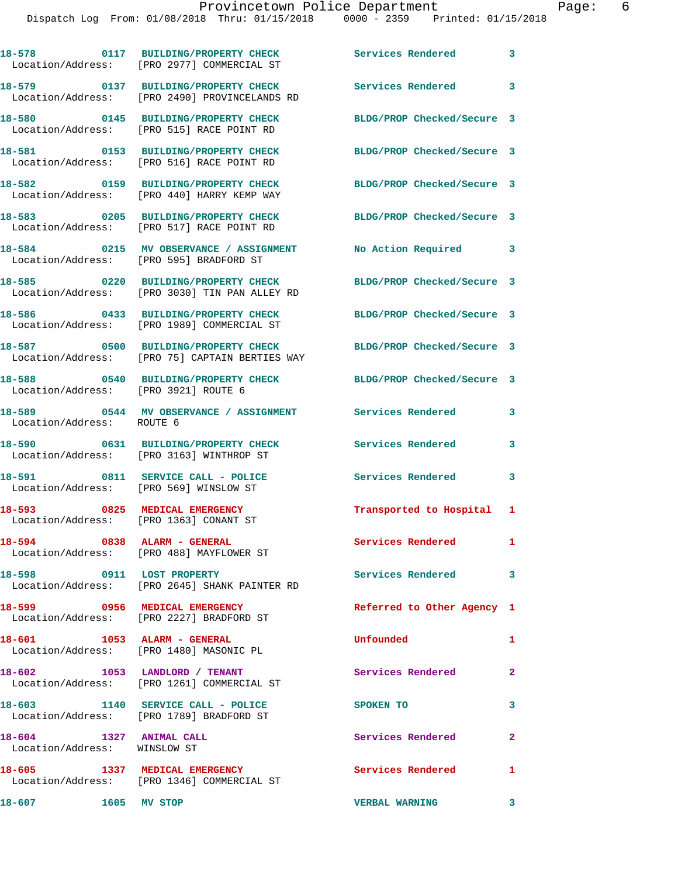|                                                         | 18-578 0117 BUILDING/PROPERTY CHECK<br>Location/Address: [PRO 2977] COMMERCIAL ST     | <b>Services Rendered</b>   | 3 |
|---------------------------------------------------------|---------------------------------------------------------------------------------------|----------------------------|---|
|                                                         | 18-579 0137 BUILDING/PROPERTY CHECK<br>Location/Address: [PRO 2490] PROVINCELANDS RD  | <b>Services Rendered</b>   | 3 |
|                                                         | 18-580 0145 BUILDING/PROPERTY CHECK<br>Location/Address: [PRO 515] RACE POINT RD      | BLDG/PROP Checked/Secure 3 |   |
|                                                         | 18-581 0153 BUILDING/PROPERTY CHECK<br>Location/Address: [PRO 516] RACE POINT RD      | BLDG/PROP Checked/Secure 3 |   |
|                                                         | 18-582 0159 BUILDING/PROPERTY CHECK<br>Location/Address: [PRO 440] HARRY KEMP WAY     | BLDG/PROP Checked/Secure 3 |   |
|                                                         | 18-583 0205 BUILDING/PROPERTY CHECK<br>Location/Address: [PRO 517] RACE POINT RD      | BLDG/PROP Checked/Secure 3 |   |
|                                                         | 18-584 0215 MV OBSERVANCE / ASSIGNMENT<br>Location/Address: [PRO 595] BRADFORD ST     | No Action Required         | 3 |
|                                                         | 18-585 0220 BUILDING/PROPERTY CHECK<br>Location/Address: [PRO 3030] TIN PAN ALLEY RD  | BLDG/PROP Checked/Secure 3 |   |
|                                                         | 18-586 0433 BUILDING/PROPERTY CHECK<br>Location/Address: [PRO 1989] COMMERCIAL ST     | BLDG/PROP Checked/Secure 3 |   |
|                                                         | 18-587 0500 BUILDING/PROPERTY CHECK<br>Location/Address: [PRO 75] CAPTAIN BERTIES WAY | BLDG/PROP Checked/Secure 3 |   |
| Location/Address: [PRO 3921] ROUTE 6                    | 18-588 0540 BUILDING/PROPERTY CHECK                                                   | BLDG/PROP Checked/Secure 3 |   |
| Location/Address: ROUTE 6                               | 18-589 0544 MV OBSERVANCE / ASSIGNMENT                                                | Services Rendered          | 3 |
|                                                         | 18-590 0631 BUILDING/PROPERTY CHECK<br>Location/Address: [PRO 3163] WINTHROP ST       | Services Rendered          | 3 |
| Location/Address: [PRO 569] WINSLOW ST                  | 18-591 0811 SERVICE CALL - POLICE                                                     | Services Rendered          | 3 |
| 18-593<br>Location/Address: [PRO 1363] CONANT ST        | 0825 MEDICAL EMERGENCY                                                                | Transported to Hospital 1  |   |
| 18-594                                                  | 0838 ALARM - GENERAL<br>Location/Address: [PRO 488] MAYFLOWER ST                      | Services Rendered          |   |
| 18-598 0911 LOST PROPERTY                               | Location/Address: [PRO 2645] SHANK PAINTER RD                                         | Services Rendered          | 3 |
|                                                         | 18-599 0956 MEDICAL EMERGENCY<br>Location/Address: [PRO 2227] BRADFORD ST             | Referred to Other Agency 1 |   |
|                                                         | 18-601 1053 ALARM - GENERAL<br>Location/Address: [PRO 1480] MASONIC PL                | Unfounded                  | 1 |
|                                                         | 18-602 1053 LANDLORD / TENANT<br>Location/Address: [PRO 1261] COMMERCIAL ST           | Services Rendered          | 2 |
|                                                         | 18-603 1140 SERVICE CALL - POLICE<br>Location/Address: [PRO 1789] BRADFORD ST         | SPOKEN TO                  | 3 |
| 18-604 1327 ANIMAL CALL<br>Location/Address: WINSLOW ST |                                                                                       | Services Rendered          | 2 |
|                                                         | 18-605 1337 MEDICAL EMERGENCY<br>Location/Address: [PRO 1346] COMMERCIAL ST           | Services Rendered          | 1 |
| 18-607 1605 MV STOP                                     |                                                                                       | <b>VERBAL WARNING</b>      | 3 |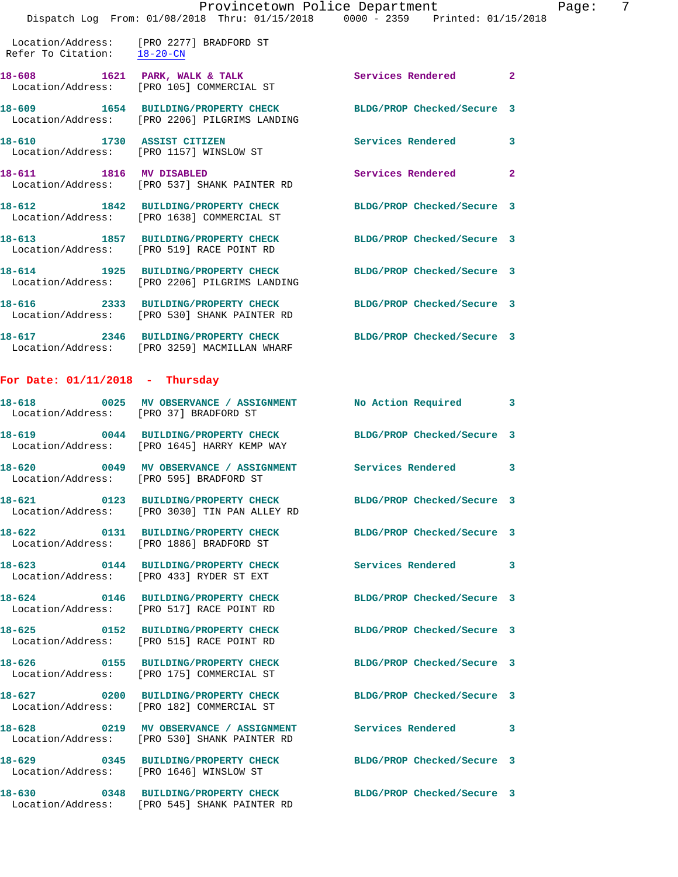|                                   | Dispatch Log From: 01/08/2018 Thru: 01/15/2018 0000 - 2359 Printed: 01/15/2018                                  | Provincetown Police Department |                |
|-----------------------------------|-----------------------------------------------------------------------------------------------------------------|--------------------------------|----------------|
|                                   | Location/Address: [PRO 2277] BRADFORD ST<br>Refer To Citation: 18-20-CN                                         |                                |                |
|                                   | 18-608 1621 PARK, WALK & TALK<br>Location/Address: [PRO 105] COMMERCIAL ST                                      | <b>Services Rendered</b>       | $\mathbf{2}$   |
|                                   | 18-609 1654 BUILDING/PROPERTY CHECK<br>Location/Address: [PRO 2206] PILGRIMS LANDING                            | BLDG/PROP Checked/Secure 3     |                |
|                                   | 18-610 1730 ASSIST CITIZEN<br>Location/Address: [PRO 1157] WINSLOW ST                                           | <b>Services Rendered</b>       | 3              |
| 18-611 1816 MV DISABLED           | Location/Address: [PRO 537] SHANK PAINTER RD                                                                    | Services Rendered              | $\overline{2}$ |
|                                   | 18-612 1842 BUILDING/PROPERTY CHECK<br>Location/Address: [PRO 1638] COMMERCIAL ST                               | BLDG/PROP Checked/Secure 3     |                |
|                                   | 18-613 1857 BUILDING/PROPERTY CHECK<br>Location/Address: [PRO 519] RACE POINT RD                                | BLDG/PROP Checked/Secure 3     |                |
|                                   | 18-614 1925 BUILDING/PROPERTY CHECK BLDG/PROP Checked/Secure 3<br>Location/Address: [PRO 2206] PILGRIMS LANDING |                                |                |
|                                   | 18-616 2333 BUILDING/PROPERTY CHECK BLDG/PROP Checked/Secure 3<br>Location/Address: [PRO 530] SHANK PAINTER RD  |                                |                |
|                                   | 18-617 2346 BUILDING/PROPERTY CHECK BLDG/PROP Checked/Secure 3<br>Location/Address: [PRO 3259] MACMILLAN WHARF  |                                |                |
| For Date: $01/11/2018$ - Thursday |                                                                                                                 |                                |                |
|                                   | 18-618 0025 MV OBSERVANCE / ASSIGNMENT No Action Required<br>Location/Address: [PRO 37] BRADFORD ST             |                                | 3              |
|                                   | 18-619 0044 BUILDING/PROPERTY CHECK<br>Location/Address: [PRO 1645] HARRY KEMP WAY                              | BLDG/PROP Checked/Secure 3     |                |
|                                   | 18-620 0049 MV OBSERVANCE / ASSIGNMENT Services Rendered<br>Location/Address: [PRO 595] BRADFORD ST             |                                | 3              |
|                                   | 18-621 0123 BUILDING/PROPERTY CHECK<br>Location/Address: [PRO 3030] TIN PAN ALLEY RD                            | BLDG/PROP Checked/Secure 3     |                |
|                                   | 18-622 0131 BUILDING/PROPERTY CHECK<br>Location/Address: [PRO 1886] BRADFORD ST                                 | BLDG/PROP Checked/Secure 3     |                |
|                                   | 18-623 0144 BUILDING/PROPERTY CHECK<br>Location/Address: [PRO 433] RYDER ST EXT                                 | Services Rendered              | 3              |
|                                   | 18-624 0146 BUILDING/PROPERTY CHECK<br>Location/Address: [PRO 517] RACE POINT RD                                | BLDG/PROP Checked/Secure 3     |                |
| 18-625                            | 0152 BUILDING/PROPERTY CHECK<br>Location/Address: [PRO 515] RACE POINT RD                                       | BLDG/PROP Checked/Secure 3     |                |
|                                   | 18-626 0155 BUILDING/PROPERTY CHECK<br>Location/Address: [PRO 175] COMMERCIAL ST                                | BLDG/PROP Checked/Secure 3     |                |
|                                   | 18-627 0200 BUILDING/PROPERTY CHECK<br>Location/Address: [PRO 182] COMMERCIAL ST                                | BLDG/PROP Checked/Secure 3     |                |
|                                   | 18-628 0219 MV OBSERVANCE / ASSIGNMENT<br>Location/Address: [PRO 530] SHANK PAINTER RD                          | Services Rendered              | 3              |

**18-629 0345 BUILDING/PROPERTY CHECK BLDG/PROP Checked/Secure 3**  Location/Address: [PRO 1646] WINSLOW ST

**18-630 0348 BUILDING/PROPERTY CHECK BLDG/PROP Checked/Secure 3**  Location/Address: [PRO 545] SHANK PAINTER RD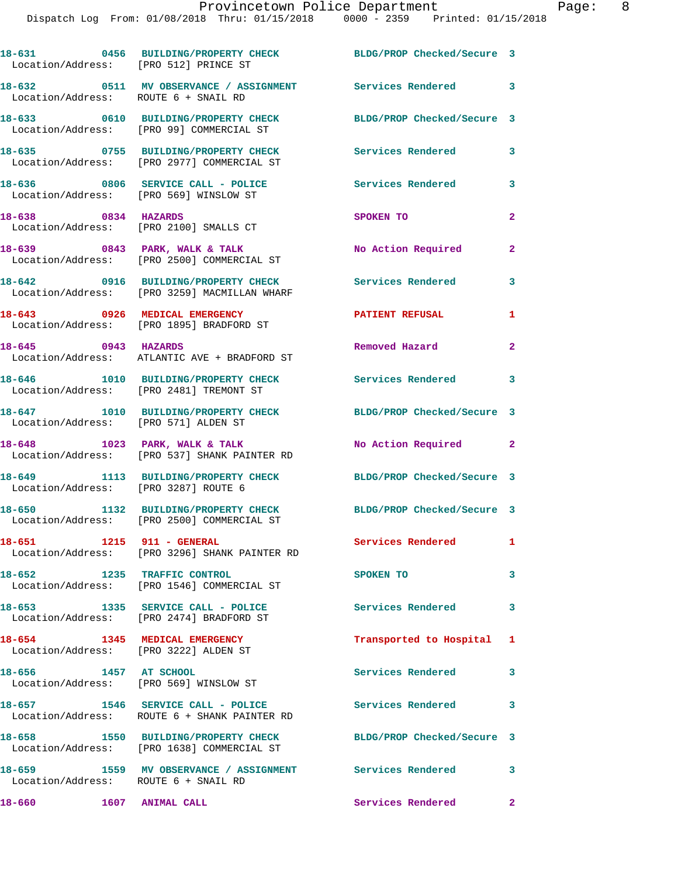| Location/Address: [PRO 512] PRINCE ST                           | 18-631 0456 BUILDING/PROPERTY CHECK BLDG/PROP Checked/Secure 3                      |                            |              |
|-----------------------------------------------------------------|-------------------------------------------------------------------------------------|----------------------------|--------------|
| Location/Address: ROUTE 6 + SNAIL RD                            | 18-632 0511 MV OBSERVANCE / ASSIGNMENT Services Rendered 3                          |                            |              |
|                                                                 | 18-633 0610 BUILDING/PROPERTY CHECK<br>Location/Address: [PRO 99] COMMERCIAL ST     | BLDG/PROP Checked/Secure 3 |              |
|                                                                 | 18-635 0755 BUILDING/PROPERTY CHECK<br>Location/Address: [PRO 2977] COMMERCIAL ST   | Services Rendered          | $\mathbf{3}$ |
| Location/Address: [PRO 569] WINSLOW ST                          | 18-636 0806 SERVICE CALL - POLICE                                                   | Services Rendered          | 3            |
| 18-638 0834 HAZARDS                                             | Location/Address: [PRO 2100] SMALLS CT                                              | SPOKEN TO                  | $\mathbf{2}$ |
|                                                                 | 18-639 0843 PARK, WALK & TALK<br>Location/Address: [PRO 2500] COMMERCIAL ST         | No Action Required         | $\mathbf{2}$ |
|                                                                 | 18-642 0916 BUILDING/PROPERTY CHECK<br>Location/Address: [PRO 3259] MACMILLAN WHARF | <b>Services Rendered</b>   | 3            |
|                                                                 | 18-643 0926 MEDICAL EMERGENCY<br>Location/Address: [PRO 1895] BRADFORD ST           | <b>PATIENT REFUSAL</b>     | $\mathbf{1}$ |
|                                                                 | 18-645 0943 HAZARDS<br>Location/Address: ATLANTIC AVE + BRADFORD ST                 | Removed Hazard             | $\mathbf{2}$ |
|                                                                 | 18-646 1010 BUILDING/PROPERTY CHECK<br>Location/Address: [PRO 2481] TREMONT ST      | Services Rendered 3        |              |
| Location/Address: [PRO 571] ALDEN ST                            | 18-647 1010 BUILDING/PROPERTY CHECK                                                 | BLDG/PROP Checked/Secure 3 |              |
|                                                                 | 18-648 1023 PARK, WALK & TALK<br>Location/Address: [PRO 537] SHANK PAINTER RD       | No Action Required 2       |              |
| Location/Address: [PRO 3287] ROUTE 6                            | 18-649 1113 BUILDING/PROPERTY CHECK                                                 | BLDG/PROP Checked/Secure 3 |              |
|                                                                 | 18-650 1132 BUILDING/PROPERTY CHECK<br>Location/Address: [PRO 2500] COMMERCIAL ST   | BLDG/PROP Checked/Secure 3 |              |
| 18-651 1215 911 - GENERAL                                       | Location/Address: [PRO 3296] SHANK PAINTER RD                                       | Services Rendered          | $\mathbf{1}$ |
| 18-652 1235 TRAFFIC CONTROL                                     | Location/Address: [PRO 1546] COMMERCIAL ST                                          | SPOKEN TO                  | 3            |
|                                                                 | 18-653 1335 SERVICE CALL - POLICE<br>Location/Address: [PRO 2474] BRADFORD ST       | <b>Services Rendered</b>   | 3            |
| 18-654 1345 MEDICAL EMERGENCY                                   | Location/Address: [PRO 3222] ALDEN ST                                               | Transported to Hospital 1  |              |
| 18-656 1457 AT SCHOOL<br>Location/Address: [PRO 569] WINSLOW ST |                                                                                     | Services Rendered          | 3            |
|                                                                 | 18-657 1546 SERVICE CALL - POLICE<br>Location/Address: ROUTE 6 + SHANK PAINTER RD   | Services Rendered 3        |              |
|                                                                 | 18-658 1550 BUILDING/PROPERTY CHECK<br>Location/Address: [PRO 1638] COMMERCIAL ST   | BLDG/PROP Checked/Secure 3 |              |
| Location/Address: ROUTE 6 + SNAIL RD                            | 18-659 1559 MV OBSERVANCE / ASSIGNMENT Services Rendered 3                          |                            |              |
| 18-660                                                          | 1607 ANIMAL CALL                                                                    | Services Rendered 2        |              |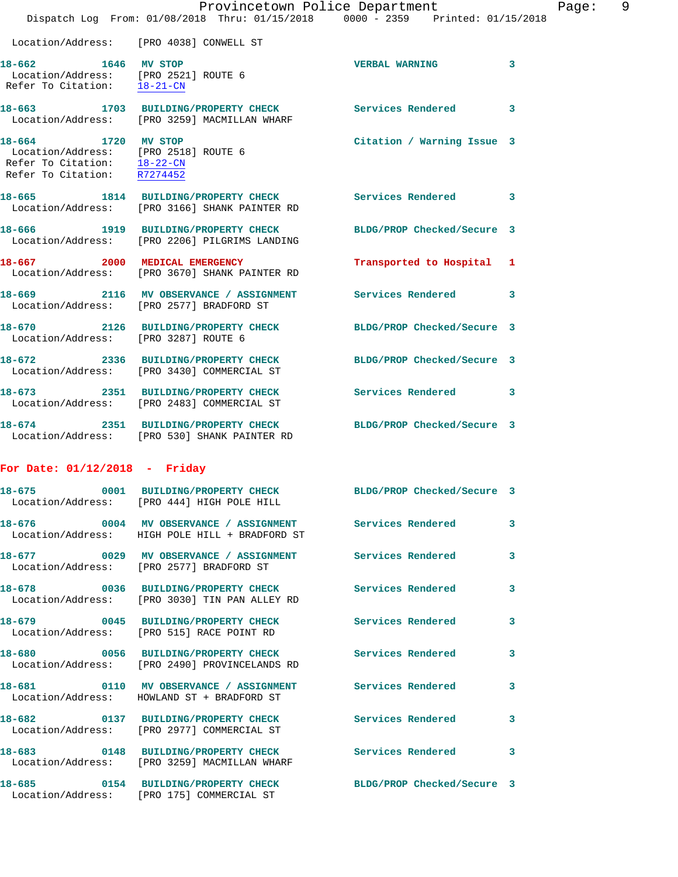|                                                                                                                               | Provincetown Police Department<br>Dispatch Log From: 01/08/2018 Thru: 01/15/2018 0000 - 2359 Printed: 01/15/2018 |                            |   |
|-------------------------------------------------------------------------------------------------------------------------------|------------------------------------------------------------------------------------------------------------------|----------------------------|---|
|                                                                                                                               | Location/Address: [PRO 4038] CONWELL ST                                                                          |                            |   |
| 18-662 1646 MV STOP<br>Location/Address: [PRO 2521] ROUTE 6<br>Refer To Citation: 18-21-CN                                    |                                                                                                                  | <b>VERBAL WARNING</b>      | 3 |
|                                                                                                                               | 18-663 1703 BUILDING/PROPERTY CHECK Services Rendered<br>Location/Address: [PRO 3259] MACMILLAN WHARF            |                            | 3 |
| 18-664 1720 MV STOP<br>Location/Address: [PRO 2518] ROUTE 6<br>Refer To Citation:<br>Refer To Citation: $\overline{R7274452}$ | $18 - 22 - CN$                                                                                                   | Citation / Warning Issue 3 |   |
|                                                                                                                               | 18-665 1814 BUILDING/PROPERTY CHECK<br>Location/Address: [PRO 3166] SHANK PAINTER RD                             | Services Rendered          | 3 |
|                                                                                                                               | 18-666 1919 BUILDING/PROPERTY CHECK<br>Location/Address: [PRO 2206] PILGRIMS LANDING                             | BLDG/PROP Checked/Secure 3 |   |
|                                                                                                                               | 18-667 2000 MEDICAL EMERGENCY<br>Location/Address: [PRO 3670] SHANK PAINTER RD                                   | Transported to Hospital    | 1 |
|                                                                                                                               | 18-669 2116 MV OBSERVANCE / ASSIGNMENT<br>Location/Address: [PRO 2577] BRADFORD ST                               | <b>Services Rendered</b>   | 3 |
| Location/Address: [PRO 3287] ROUTE 6                                                                                          | 18-670 2126 BUILDING/PROPERTY CHECK                                                                              | BLDG/PROP Checked/Secure 3 |   |
|                                                                                                                               | 18-672 2336 BUILDING/PROPERTY CHECK<br>Location/Address: [PRO 3430] COMMERCIAL ST                                | BLDG/PROP Checked/Secure 3 |   |
|                                                                                                                               | 18-673 2351 BUILDING/PROPERTY CHECK<br>Location/Address: [PRO 2483] COMMERCIAL ST                                | <b>Services Rendered</b>   | 3 |
|                                                                                                                               | 18-674 2351 BUILDING/PROPERTY CHECK BLDG/PROP Checked/Secure 3<br>Location/Address: [PRO 530] SHANK PAINTER RD   |                            |   |
| For Date: $01/12/2018$ - Friday                                                                                               |                                                                                                                  |                            |   |
|                                                                                                                               | 18-675 0001 BUILDING/PROPERTY CHECK<br>Location/Address: [PRO 444] HIGH POLE HILL                                | BLDG/PROP Checked/Secure 3 |   |
|                                                                                                                               | 18-676  0004 MV OBSERVANCE / ASSIGNMENT Services Rendered<br>Location/Address: HIGH POLE HILL + BRADFORD ST      |                            | 3 |
|                                                                                                                               | 18-677 6029 MV OBSERVANCE / ASSIGNMENT Services Rendered<br>Location/Address: [PRO 2577] BRADFORD ST             |                            | 3 |
|                                                                                                                               | 18-678 0036 BUILDING/PROPERTY CHECK<br>Location/Address: [PRO 3030] TIN PAN ALLEY RD                             | <b>Services Rendered</b>   | 3 |
|                                                                                                                               | 18-679 0045 BUILDING/PROPERTY CHECK<br>Location/Address: [PRO 515] RACE POINT RD                                 | <b>Services Rendered</b>   | 3 |
|                                                                                                                               | 18-680 0056 BUILDING/PROPERTY CHECK<br>Location/Address: [PRO 2490] PROVINCELANDS RD                             | <b>Services Rendered</b>   | 3 |
|                                                                                                                               | 18-681 0110 MV OBSERVANCE / ASSIGNMENT Services Rendered<br>Location/Address: HOWLAND ST + BRADFORD ST           |                            | 3 |

**18-682 0137 BUILDING/PROPERTY CHECK Services Rendered 3** 

Location/Address: [PRO 2977] COMMERCIAL ST

**18-683 0148 BUILDING/PROPERTY CHECK Services Rendered 3**  Location/Address: [PRO 3259] MACMILLAN WHARF

**18-685 0154 BUILDING/PROPERTY CHECK BLDG/PROP Checked/Secure 3**  Location/Address: [PRO 175] COMMERCIAL ST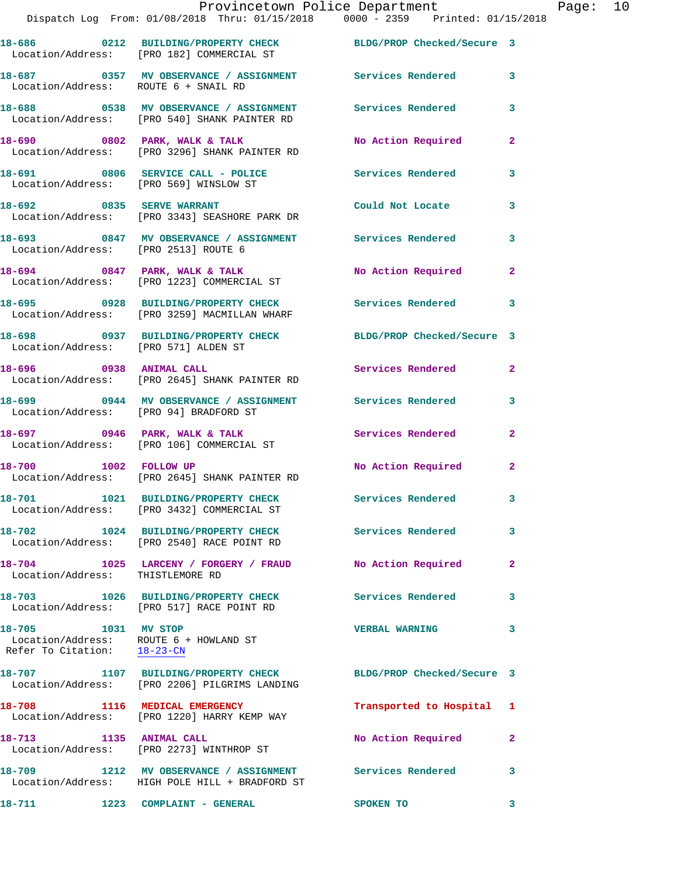|                                                    | 18-686 0212 BUILDING/PROPERTY CHECK<br>Location/Address: [PRO 182] COMMERCIAL ST                      | BLDG/PROP Checked/Secure 3 |              |
|----------------------------------------------------|-------------------------------------------------------------------------------------------------------|----------------------------|--------------|
| Location/Address: ROUTE 6 + SNAIL RD               | 18-687 6357 MV OBSERVANCE / ASSIGNMENT Services Rendered                                              |                            | 3            |
|                                                    | 18-688 0538 MV OBSERVANCE / ASSIGNMENT<br>Location/Address: [PRO 540] SHANK PAINTER RD                | <b>Services Rendered</b>   | 3            |
|                                                    | 18-690 0802 PARK, WALK & TALK<br>Location/Address: [PRO 3296] SHANK PAINTER RD                        | No Action Required         | $\mathbf{2}$ |
| Location/Address: [PRO 569] WINSLOW ST             | 18-691 0806 SERVICE CALL - POLICE Services Rendered                                                   |                            | 3            |
| 18-692 0835 SERVE WARRANT                          | Location/Address: [PRO 3343] SEASHORE PARK DR                                                         | Could Not Locate           | 3            |
|                                                    | 18-693 0847 MV OBSERVANCE / ASSIGNMENT<br>Location/Address: [PRO 2513] ROUTE 6                        | Services Rendered          | 3            |
|                                                    | 18-694 0847 PARK, WALK & TALK<br>Location/Address: [PRO 1223] COMMERCIAL ST                           | No Action Required         | $\mathbf{2}$ |
|                                                    | 18-695 0928 BUILDING/PROPERTY CHECK<br>Location/Address: [PRO 3259] MACMILLAN WHARF                   | Services Rendered          | 3            |
| Location/Address: [PRO 571] ALDEN ST               | 18-698 0937 BUILDING/PROPERTY CHECK                                                                   | BLDG/PROP Checked/Secure 3 |              |
| 18-696 0938 ANIMAL CALL                            | Location/Address: [PRO 2645] SHANK PAINTER RD                                                         | Services Rendered          | $\mathbf{2}$ |
| Location/Address: [PRO 94] BRADFORD ST             | 18-699 0944 MV OBSERVANCE / ASSIGNMENT                                                                | Services Rendered          | 3            |
|                                                    | 18-697 0946 PARK, WALK & TALK<br>Location/Address: [PRO 106] COMMERCIAL ST                            | Services Rendered          | $\mathbf{2}$ |
|                                                    | 18-700 1002 FOLLOW UP<br>Location/Address: [PRO 2645] SHANK PAINTER RD                                | No Action Required         | $\mathbf{2}$ |
| 18-701                                             | 1021 BUILDING/PROPERTY CHECK<br>Location/Address: [PRO 3432] COMMERCIAL ST                            | Services Rendered 3        |              |
| 18-702                                             | 1024 BUILDING/PROPERTY CHECK<br>Location/Address: [PRO 2540] RACE POINT RD                            | Services Rendered          | 3            |
| Location/Address: THISTLEMORE RD                   | 18-704 1025 LARCENY / FORGERY / FRAUD No Action Required                                              |                            | $\mathbf{2}$ |
|                                                    | 18-703 1026 BUILDING/PROPERTY CHECK<br>Location/Address: [PRO 517] RACE POINT RD                      | Services Rendered          | 3            |
| 18-705 1031 MV STOP<br>Refer To Citation: 18-23-CN | Location/Address: ROUTE 6 + HOWLAND ST                                                                | <b>VERBAL WARNING</b>      | 3            |
|                                                    | 18-707 1107 BUILDING/PROPERTY CHECK<br>Location/Address: [PRO 2206] PILGRIMS LANDING                  | BLDG/PROP Checked/Secure 3 |              |
| 18-708                                             | 1116 MEDICAL EMERGENCY<br>Location/Address: [PRO 1220] HARRY KEMP WAY                                 | Transported to Hospital 1  |              |
|                                                    | 18-713 1135 ANIMAL CALL<br>Location/Address: [PRO 2273] WINTHROP ST                                   | No Action Required         | $\mathbf{2}$ |
| 18-709                                             | 1212 MV OBSERVANCE / ASSIGNMENT Services Rendered 3<br>Location/Address: HIGH POLE HILL + BRADFORD ST |                            |              |
| 18-711                                             | 1223 COMPLAINT - GENERAL                                                                              | SPOKEN TO                  | 3            |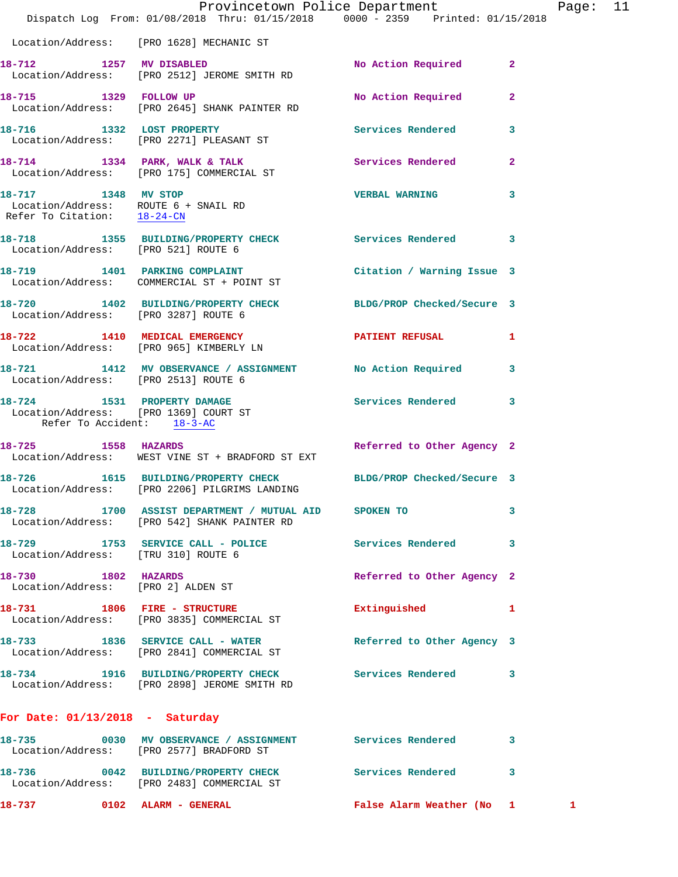|                                                                                                    | Provincetown Police Department<br>Dispatch Log From: 01/08/2018 Thru: 01/15/2018 0000 - 2359 Printed: 01/15/2018 |                            | Pag            |              |
|----------------------------------------------------------------------------------------------------|------------------------------------------------------------------------------------------------------------------|----------------------------|----------------|--------------|
|                                                                                                    | Location/Address: [PRO 1628] MECHANIC ST                                                                         |                            |                |              |
|                                                                                                    | 18-712 1257 MV DISABLED<br>Location/Address: [PRO 2512] JEROME SMITH RD                                          | No Action Required         | $\overline{2}$ |              |
| 18-715 1329 FOLLOW UP                                                                              | Location/Address: [PRO 2645] SHANK PAINTER RD                                                                    | No Action Required         | $\overline{2}$ |              |
|                                                                                                    | 18-716 1332 LOST PROPERTY<br>Location/Address: [PRO 2271] PLEASANT ST                                            | Services Rendered          | 3              |              |
|                                                                                                    | 18-714 1334 PARK, WALK & TALK Services Rendered<br>Location/Address: [PRO 175] COMMERCIAL ST                     |                            | 2              |              |
| 18-717 1348 MV STOP<br>Location/Address: ROUTE 6 + SNAIL RD<br>Refer To Citation: 18-24-CN         |                                                                                                                  | <b>VERBAL WARNING</b>      | 3              |              |
| Location/Address: [PRO 521] ROUTE 6                                                                | 18-718 1355 BUILDING/PROPERTY CHECK Services Rendered                                                            |                            | 3              |              |
|                                                                                                    | 18-719 1401 PARKING COMPLAINT<br>Location/Address: COMMERCIAL ST + POINT ST                                      | Citation / Warning Issue 3 |                |              |
|                                                                                                    | 18-720 1402 BUILDING/PROPERTY CHECK BLDG/PROP Checked/Secure 3<br>Location/Address: [PRO 3287] ROUTE 6           |                            |                |              |
|                                                                                                    | 18-722 1410 MEDICAL EMERGENCY<br>Location/Address: [PRO 965] KIMBERLY LN                                         | PATIENT REFUSAL            | 1              |              |
| Location/Address: [PRO 2513] ROUTE 6                                                               | 18-721 1412 MV OBSERVANCE / ASSIGNMENT No Action Required                                                        |                            | 3              |              |
| 18-724 1531 PROPERTY DAMAGE<br>Location/Address: [PRO 1369] COURT ST<br>Refer To Accident: 18-3-AC |                                                                                                                  | Services Rendered          | 3              |              |
| 18-725 1558 HAZARDS                                                                                | Location/Address: WEST VINE ST + BRADFORD ST EXT                                                                 | Referred to Other Agency 2 |                |              |
|                                                                                                    | 18-726 1615 BUILDING/PROPERTY CHECK BLDG/PROP Checked/Secure 3<br>Location/Address: [PRO 2206] PILGRIMS LANDING  |                            |                |              |
|                                                                                                    | 18-728 1700 ASSIST DEPARTMENT / MUTUAL AID SPOKEN TO<br>Location/Address: [PRO 542] SHANK PAINTER RD             |                            | 3              |              |
|                                                                                                    | 18-729 1753 SERVICE CALL - POLICE Services Rendered<br>Location/Address: [TRU 310] ROUTE 6                       |                            | 3              |              |
| 18-730 1802 HAZARDS<br>Location/Address: [PRO 2] ALDEN ST                                          |                                                                                                                  | Referred to Other Agency 2 |                |              |
|                                                                                                    | 18-731 1806 FIRE - STRUCTURE<br>Location/Address: [PRO 3835] COMMERCIAL ST                                       | Extinguished               | 1              |              |
|                                                                                                    | 18-733 1836 SERVICE CALL - WATER<br>Location/Address: [PRO 2841] COMMERCIAL ST                                   | Referred to Other Agency 3 |                |              |
|                                                                                                    | 18-734 1916 BUILDING/PROPERTY CHECK Services Rendered<br>Location/Address: [PRO 2898] JEROME SMITH RD            |                            | 3              |              |
| For Date: $01/13/2018$ - Saturday                                                                  |                                                                                                                  |                            |                |              |
|                                                                                                    | 18-735 0030 MV OBSERVANCE / ASSIGNMENT Services Rendered<br>Location/Address: [PRO 2577] BRADFORD ST             |                            | 3              |              |
|                                                                                                    | 18-736 0042 BUILDING/PROPERTY CHECK Services Rendered<br>Location/Address: [PRO 2483] COMMERCIAL ST              |                            | 3              |              |
| 18-737                                                                                             | 0102 ALARM - GENERAL                                                                                             | False Alarm Weather (No 1  |                | $\mathbf{1}$ |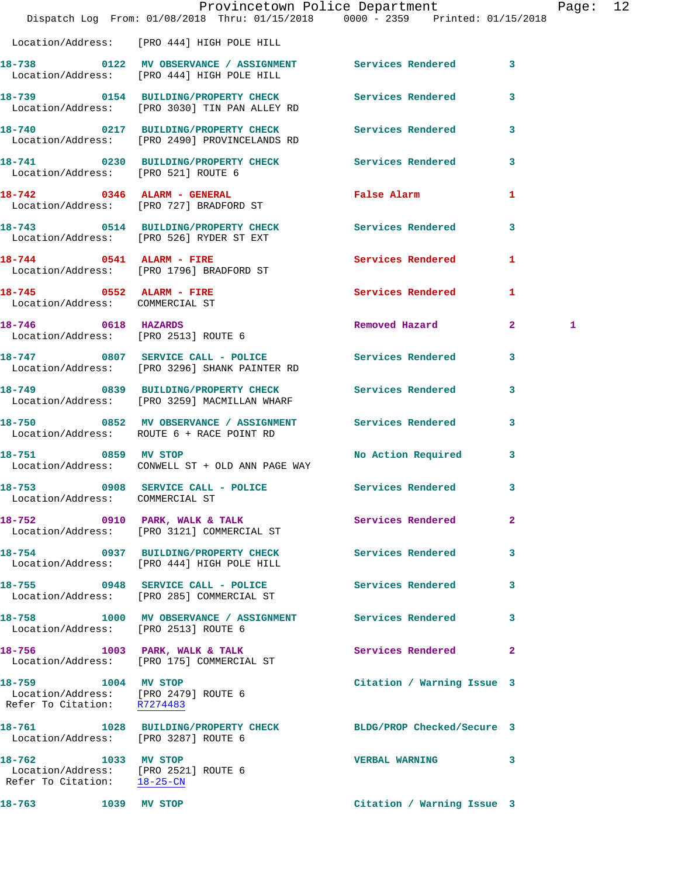|                                                                                            | Dispatch Log From: 01/08/2018 Thru: 01/15/2018 0000 - 2359 Printed: 01/15/2018                           | Provincetown Police Department                      |                | Page: 12 |  |
|--------------------------------------------------------------------------------------------|----------------------------------------------------------------------------------------------------------|-----------------------------------------------------|----------------|----------|--|
|                                                                                            | Location/Address: [PRO 444] HIGH POLE HILL                                                               |                                                     |                |          |  |
|                                                                                            | 18-738 0122 MV OBSERVANCE / ASSIGNMENT Services Rendered 3<br>Location/Address: [PRO 444] HIGH POLE HILL |                                                     |                |          |  |
|                                                                                            | 18-739 0154 BUILDING/PROPERTY CHECK Services Rendered<br>Location/Address: [PRO 3030] TIN PAN ALLEY RD   |                                                     | 3              |          |  |
|                                                                                            | 18-740 0217 BUILDING/PROPERTY CHECK Services Rendered 3<br>Location/Address: [PRO 2490] PROVINCELANDS RD |                                                     |                |          |  |
| Location/Address: [PRO 521] ROUTE 6                                                        | 18-741 0230 BUILDING/PROPERTY CHECK Services Rendered                                                    |                                                     | $\mathbf{3}$   |          |  |
|                                                                                            | 18-742 0346 ALARM - GENERAL<br>Location/Address: [PRO 727] BRADFORD ST                                   | False Alarm <b>Exercise Service Service Service</b> | $\mathbf{1}$   |          |  |
|                                                                                            | 18-743 0514 BUILDING/PROPERTY CHECK<br>Location/Address: [PRO 526] RYDER ST EXT                          | Services Rendered                                   | $\mathbf{3}$   |          |  |
|                                                                                            | 18-744 0541 ALARM - FIRE<br>Location/Address: [PRO 1796] BRADFORD ST                                     | Services Rendered                                   | 1              |          |  |
| 18-745 0552 ALARM - FIRE<br>Location/Address: COMMERCIAL ST                                |                                                                                                          | <b>Services Rendered</b>                            | $\mathbf{1}$   |          |  |
| 18-746 0618 HAZARDS<br>Location/Address: [PRO 2513] ROUTE 6                                |                                                                                                          | Removed Hazard 2                                    |                | 1        |  |
|                                                                                            | 18-747 0807 SERVICE CALL - POLICE Services Rendered 3<br>Location/Address: [PRO 3296] SHANK PAINTER RD   |                                                     |                |          |  |
|                                                                                            | 18-749 0839 BUILDING/PROPERTY CHECK Services Rendered<br>Location/Address: [PRO 3259] MACMILLAN WHARF    |                                                     | 3              |          |  |
|                                                                                            | 18-750 0852 MV OBSERVANCE / ASSIGNMENT Services Rendered<br>Location/Address: ROUTE 6 + RACE POINT RD    |                                                     | $\mathbf{3}$   |          |  |
| 18-751 0859 MV STOP                                                                        | Location/Address: CONWELL ST + OLD ANN PAGE WAY                                                          | No Action Required                                  | 3              |          |  |
| 18-753<br>Location/Address: COMMERCIAL ST                                                  | 0908 SERVICE CALL - POLICE Services Rendered 3                                                           |                                                     |                |          |  |
|                                                                                            | 18-752 0910 PARK, WALK & TALK<br>Location/Address: [PRO 3121] COMMERCIAL ST                              | Services Rendered                                   | $\overline{2}$ |          |  |
|                                                                                            | 18-754 0937 BUILDING/PROPERTY CHECK<br>Location/Address: [PRO 444] HIGH POLE HILL                        | Services Rendered                                   | 3              |          |  |
|                                                                                            | 18-755 0948 SERVICE CALL - POLICE<br>Location/Address: [PRO 285] COMMERCIAL ST                           | Services Rendered                                   | 3              |          |  |
| Location/Address: [PRO 2513] ROUTE 6                                                       | 18-758 1000 MV OBSERVANCE / ASSIGNMENT Services Rendered                                                 |                                                     | 3              |          |  |
|                                                                                            | 18-756 1003 PARK, WALK & TALK<br>Location/Address: [PRO 175] COMMERCIAL ST                               | Services Rendered                                   | $\overline{2}$ |          |  |
| 18-759 1004 MV STOP<br>Location/Address: [PRO 2479] ROUTE 6<br>Refer To Citation: R7274483 |                                                                                                          | Citation / Warning Issue 3                          |                |          |  |
| Location/Address: [PRO 3287] ROUTE 6                                                       | 18-761 1028 BUILDING/PROPERTY CHECK                                                                      | BLDG/PROP Checked/Secure 3                          |                |          |  |
| 18-762 1033 MV STOP<br>Location/Address: [PRO 2521] ROUTE 6<br>Refer To Citation: 18-25-CN |                                                                                                          | VERBAL WARNING 3                                    |                |          |  |
| 18-763                                                                                     | 1039 MV STOP                                                                                             | Citation / Warning Issue 3                          |                |          |  |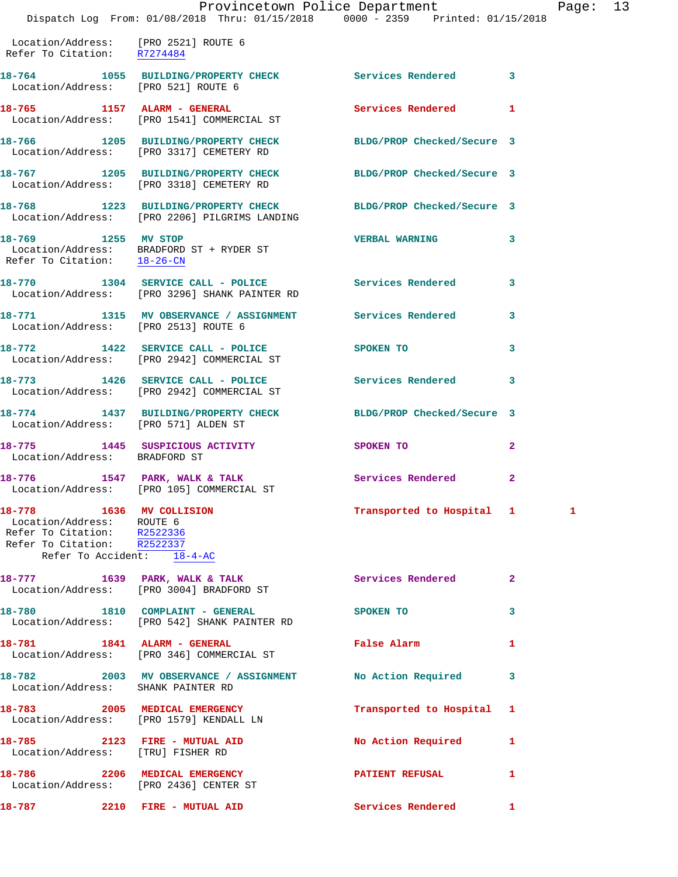|                                                                                                                                                   | Dispatch Log From: 01/08/2018 Thru: 01/15/2018 0000 - 2359 Printed: 01/15/2018                                  | Provincetown Police Department | Pag            |
|---------------------------------------------------------------------------------------------------------------------------------------------------|-----------------------------------------------------------------------------------------------------------------|--------------------------------|----------------|
| Location/Address: [PRO 2521] ROUTE 6<br>Refer To Citation: R7274484                                                                               |                                                                                                                 |                                |                |
| Location/Address: [PRO 521] ROUTE 6                                                                                                               | 18-764 1055 BUILDING/PROPERTY CHECK Services Rendered                                                           |                                | 3              |
|                                                                                                                                                   | 18-765 1157 ALARM - GENERAL<br>Location/Address: [PRO 1541] COMMERCIAL ST                                       | <b>Services Rendered</b>       | 1              |
|                                                                                                                                                   | 18-766 1205 BUILDING/PROPERTY CHECK BLDG/PROP Checked/Secure 3<br>Location/Address: [PRO 3317] CEMETERY RD      |                                |                |
|                                                                                                                                                   | 18-767 1205 BUILDING/PROPERTY CHECK<br>Location/Address: [PRO 3318] CEMETERY RD                                 | BLDG/PROP Checked/Secure 3     |                |
|                                                                                                                                                   | 18-768 1223 BUILDING/PROPERTY CHECK BLDG/PROP Checked/Secure 3<br>Location/Address: [PRO 2206] PILGRIMS LANDING |                                |                |
| 18-769 1255 MV STOP                                                                                                                               | Location/Address: BRADFORD ST + RYDER ST<br>Refer To Citation: $\frac{18-26-CN}{\pi}$                           | <b>VERBAL WARNING</b>          | 3              |
|                                                                                                                                                   | 18-770 1304 SERVICE CALL - POLICE Services Rendered<br>Location/Address: [PRO 3296] SHANK PAINTER RD            |                                | 3              |
| Location/Address: [PRO 2513] ROUTE 6                                                                                                              | 18-771 1315 MV OBSERVANCE / ASSIGNMENT Services Rendered                                                        |                                | 3              |
|                                                                                                                                                   | 18-772 1422 SERVICE CALL - POLICE<br>Location/Address: [PRO 2942] COMMERCIAL ST                                 | SPOKEN TO                      | 3              |
|                                                                                                                                                   | 18-773 1426 SERVICE CALL - POLICE<br>Location/Address: [PRO 2942] COMMERCIAL ST                                 | Services Rendered              | 3              |
| Location/Address: [PRO 571] ALDEN ST                                                                                                              | 18-774 1437 BUILDING/PROPERTY CHECK BLDG/PROP Checked/Secure 3                                                  |                                |                |
| Location/Address: BRADFORD ST                                                                                                                     | 18-775 1445 SUSPICIOUS ACTIVITY                                                                                 | SPOKEN TO                      | $\mathbf{2}$   |
|                                                                                                                                                   | 18-776 1547 PARK, WALK & TALK 1999 Services Rendered<br>Location/Address: [PRO 105] COMMERCIAL ST               |                                | $\overline{a}$ |
| 18-778 1636 MV COLLISION<br>Location/Address: ROUTE 6<br>Refer To Citation: R2522336<br>Refer To Citation: R2522337<br>Refer To Accident: 18-4-AC |                                                                                                                 | Transported to Hospital 1 1 1  |                |
|                                                                                                                                                   | 18-777 1639 PARK, WALK & TALK<br>Location/Address: [PRO 3004] BRADFORD ST                                       | Services Rendered              | $\overline{2}$ |
|                                                                                                                                                   | 18-780 1810 COMPLAINT - GENERAL<br>Location/Address: [PRO 542] SHANK PAINTER RD                                 | SPOKEN TO                      | 3              |
|                                                                                                                                                   | 18-781 1841 ALARM - GENERAL<br>Location/Address: [PRO 346] COMMERCIAL ST                                        | False Alarm                    | 1              |
| Location/Address: SHANK PAINTER RD                                                                                                                | 18-782 2003 MV OBSERVANCE / ASSIGNMENT No Action Required                                                       |                                | 3              |
|                                                                                                                                                   | 18-783 2005 MEDICAL EMERGENCY<br>Location/Address: [PRO 1579] KENDALL LN                                        | Transported to Hospital        | 1              |
| Location/Address: [TRU] FISHER RD                                                                                                                 | 18-785 2123 FIRE - MUTUAL AID                                                                                   | No Action Required             | 1              |
| 18-786                                                                                                                                            | 2206 MEDICAL EMERGENCY<br>Location/Address: [PRO 2436] CENTER ST                                                | PATIENT REFUSAL                | 1              |

**18-787 2210 FIRE - MUTUAL AID Services Rendered 1**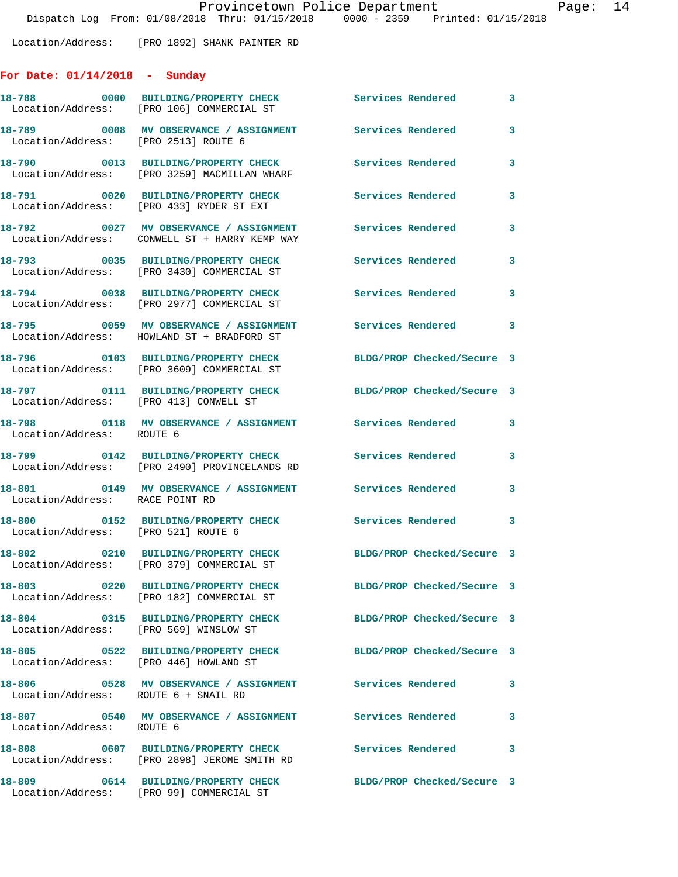Location/Address: [PRO 1892] SHANK PAINTER RD

## **For Date: 01/14/2018 - Sunday**

| 18-788                                 | 0000 BUILDING/PROPERTY CHECK Services Rendered 3<br>Location/Address: [PRO 106] COMMERCIAL ST          |                            |              |
|----------------------------------------|--------------------------------------------------------------------------------------------------------|----------------------------|--------------|
| Location/Address: [PRO 2513] ROUTE 6   | 18-789 6008 MV OBSERVANCE / ASSIGNMENT Services Rendered                                               |                            | 3            |
|                                        | 18-790 0013 BUILDING/PROPERTY CHECK Services Rendered<br>Location/Address: [PRO 3259] MACMILLAN WHARF  |                            | 3            |
|                                        |                                                                                                        | <b>Services Rendered</b>   | 3            |
|                                        | 18-792 0027 MV OBSERVANCE / ASSIGNMENT<br>Location/Address: CONWELL ST + HARRY KEMP WAY                | Services Rendered          | 3            |
|                                        | 18-793 0035 BUILDING/PROPERTY CHECK<br>Location/Address: [PRO 3430] COMMERCIAL ST                      | <b>Services Rendered</b>   | 3            |
|                                        | 18-794 0038 BUILDING/PROPERTY CHECK<br>Location/Address: [PRO 2977] COMMERCIAL ST                      | Services Rendered          | 3            |
|                                        | 18-795 0059 MV OBSERVANCE / ASSIGNMENT<br>Location/Address: HOWLAND ST + BRADFORD ST                   | Services Rendered 3        |              |
|                                        | 18-796 0103 BUILDING/PROPERTY CHECK<br>Location/Address: [PRO 3609] COMMERCIAL ST                      | BLDG/PROP Checked/Secure 3 |              |
| Location/Address: [PRO 413] CONWELL ST | 18-797 0111 BUILDING/PROPERTY CHECK BLDG/PROP Checked/Secure 3                                         |                            |              |
| Location/Address: ROUTE 6              | 18-798 0118 MV OBSERVANCE / ASSIGNMENT Services Rendered                                               |                            | 3            |
|                                        | 18-799 0142 BUILDING/PROPERTY CHECK Services Rendered<br>Location/Address: [PRO 2490] PROVINCELANDS RD |                            | $\mathbf{3}$ |
| Location/Address: RACE POINT RD        | 18-801 6149 MV OBSERVANCE / ASSIGNMENT Services Rendered                                               |                            | 3            |
| Location/Address: [PRO 521] ROUTE 6    | 18-800 0152 BUILDING/PROPERTY CHECK Services Rendered 3                                                |                            |              |
|                                        | 18-802 0210 BUILDING/PROPERTY CHECK<br>Location/Address: [PRO 379] COMMERCIAL ST                       | BLDG/PROP Checked/Secure 3 |              |
|                                        | 18-803 0220 BUILDING/PROPERTY CHECK<br>Location/Address: [PRO 182] COMMERCIAL ST                       | BLDG/PROP Checked/Secure 3 |              |
| Location/Address: [PRO 569] WINSLOW ST | 18-804 0315 BUILDING/PROPERTY CHECK                                                                    | BLDG/PROP Checked/Secure 3 |              |
| Location/Address: [PRO 446] HOWLAND ST | 18-805 0522 BUILDING/PROPERTY CHECK                                                                    | BLDG/PROP Checked/Secure 3 |              |
| Location/Address: ROUTE 6 + SNAIL RD   | 18-806 6 0528 MV OBSERVANCE / ASSIGNMENT Services Rendered                                             |                            | $\mathbf{3}$ |
| 18-807<br>Location/Address: ROUTE 6    | 0540 MV OBSERVANCE / ASSIGNMENT Services Rendered                                                      |                            | $\mathbf{3}$ |
|                                        | 18-808 0607 BUILDING/PROPERTY CHECK<br>Location/Address: [PRO 2898] JEROME SMITH RD                    | <b>Services Rendered</b>   | 3            |
| 18-809                                 | 0614 BUILDING/PROPERTY CHECK<br>Location/Address: [PRO 99] COMMERCIAL ST                               | BLDG/PROP Checked/Secure 3 |              |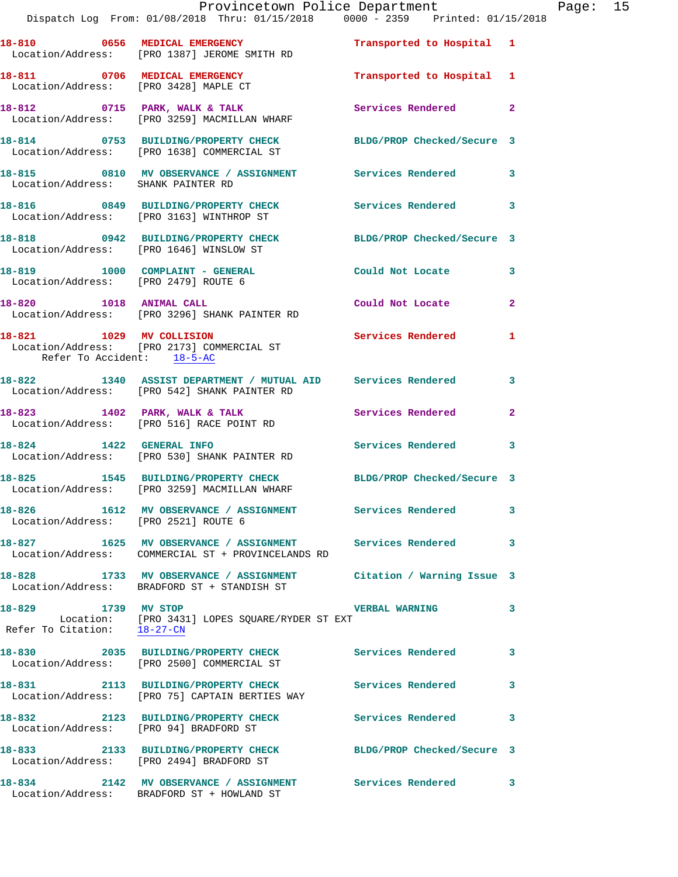|                                        | Provincetown Police Department<br>Dispatch Log From: 01/08/2018 Thru: 01/15/2018   0000 - 2359   Printed: 01/15/2018              |                           |              | Page: 15 |  |
|----------------------------------------|-----------------------------------------------------------------------------------------------------------------------------------|---------------------------|--------------|----------|--|
|                                        | 18-810 0656 MEDICAL EMERGENCY <b>12 Contains 18-810</b> Transported to Hospital 1<br>Location/Address: [PRO 1387] JEROME SMITH RD |                           |              |          |  |
|                                        | 18-811 0706 MEDICAL EMERGENCY<br>Location/Address: [PRO 3428] MAPLE CT                                                            | Transported to Hospital 1 |              |          |  |
|                                        | 18-812      0715   PARK, WALK & TALK<br>Location/Address:   [PRO 3259]MACMILLAN WHARF                                             | Services Rendered 2       |              |          |  |
|                                        | 18-814 0753 BUILDING/PROPERTY CHECK BLDG/PROP Checked/Secure 3<br>Location/Address: [PRO 1638] COMMERCIAL ST                      |                           |              |          |  |
| Location/Address: SHANK PAINTER RD     | 18-815 0810 MV OBSERVANCE / ASSIGNMENT Services Rendered 3                                                                        |                           |              |          |  |
|                                        | 18-816      0849   BUILDING/PROPERTY CHECK        Services Rendered<br>Location/Address:   [PRO 3163] WINTHROP ST                 |                           | 3            |          |  |
|                                        | 18-818 0942 BUILDING/PROPERTY CHECK BLDG/PROP Checked/Secure 3<br>Location/Address: [PRO 1646] WINSLOW ST                         |                           |              |          |  |
| Location/Address: [PRO 2479] ROUTE 6   | 18-819 1000 COMPLAINT - GENERAL                                                                                                   | Could Not Locate          | 3            |          |  |
|                                        | 18-820 1018 ANIMAL CALL<br>Location/Address: [PRO 3296] SHANK PAINTER RD                                                          | Could Not Locate 2        |              |          |  |
| Refer To Accident: 18-5-AC             | 18-821 1029 MV COLLISION<br>Location/Address: [PRO 2173] COMMERCIAL ST                                                            | <b>Services Rendered</b>  | $\mathbf{1}$ |          |  |
|                                        | 18-822 1340 ASSIST DEPARTMENT / MUTUAL AID Services Rendered<br>Location/Address: [PRO 542] SHANK PAINTER RD                      |                           | 3            |          |  |
|                                        | 18-823 1402 PARK, WALK & TALK<br>Location/Address: [PRO 516] RACE POINT RD<br>Location/Address: [PRO 516] RACE POINT RD           |                           |              |          |  |
|                                        | 18-824 1422 GENERAL INFO<br>Location/Address: [PRO 530] SHANK PAINTER RD                                                          | Services Rendered         | 3            |          |  |
|                                        | 18-825 1545 BUILDING/PROPERTY CHECK BLDG/PROP Checked/Secure 3<br>Location/Address: [PRO 3259] MACMILLAN WHARF                    |                           |              |          |  |
| Location/Address: [PRO 2521] ROUTE 6   | 18-826 1612 MV OBSERVANCE / ASSIGNMENT Services Rendered                                                                          |                           | 3            |          |  |
|                                        | 18-827 1625 MV OBSERVANCE / ASSIGNMENT Services Rendered<br>Location/Address: COMMERCIAL ST + PROVINCELANDS RD                    |                           | 3            |          |  |
|                                        | 18-828 1733 MV OBSERVANCE / ASSIGNMENT Citation / Warning Issue 3<br>Location/Address: BRADFORD ST + STANDISH ST                  |                           |              |          |  |
| 18-829 1739 MV STOP                    | Location: [PRO 3431] LOPES SQUARE/RYDER ST EXT<br>Refer To Citation: $\frac{18-27-\text{CN}}{18-27-\text{CN}}}$                   | <b>VERBAL WARNING</b>     | 3            |          |  |
|                                        | 18-830 2035 BUILDING/PROPERTY CHECK Services Rendered<br>Location/Address: [PRO 2500] COMMERCIAL ST                               |                           | 3            |          |  |
|                                        |                                                                                                                                   |                           | 3            |          |  |
| Location/Address: [PRO 94] BRADFORD ST | 18-832 2123 BUILDING/PROPERTY CHECK Services Rendered                                                                             |                           | 3            |          |  |
|                                        | 18-833 2133 BUILDING/PROPERTY CHECK BLDG/PROP Checked/Secure 3<br>Location/Address: [PRO 2494] BRADFORD ST                        |                           |              |          |  |
|                                        | 18-834 2142 MV OBSERVANCE / ASSIGNMENT Services Rendered<br>Location/Address: BRADFORD ST + HOWLAND ST                            |                           | 3            |          |  |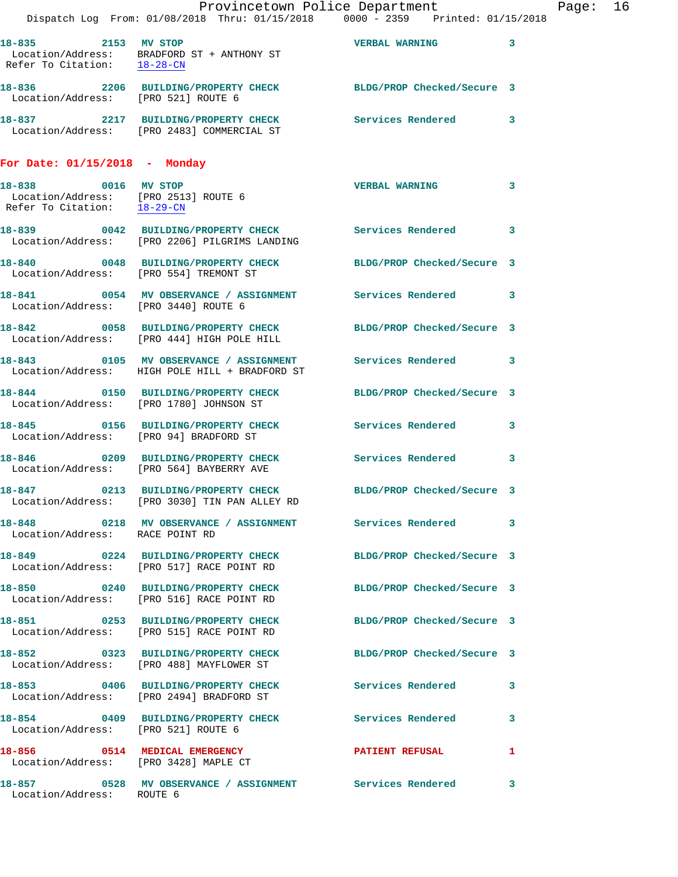|                                                                                            | Dispatch Log From: 01/08/2018 Thru: 01/15/2018 0000 - 2359 Printed: 01/15/2018                                  | Provincetown Police Department |              | Page: 16 |  |
|--------------------------------------------------------------------------------------------|-----------------------------------------------------------------------------------------------------------------|--------------------------------|--------------|----------|--|
|                                                                                            |                                                                                                                 |                                |              |          |  |
| 18-835 2153 MV STOP                                                                        | Location/Address: BRADFORD ST + ANTHONY ST<br>Refer To Citation: $\frac{18-28-CN}{\pi}$                         | VERBAL WARNING 3               |              |          |  |
| Location/Address: [PRO 521] ROUTE 6                                                        | 18-836 2206 BUILDING/PROPERTY CHECK BLDG/PROP Checked/Secure 3                                                  |                                |              |          |  |
|                                                                                            | 18-837 2217 BUILDING/PROPERTY CHECK Services Rendered 3<br>Location/Address: [PRO 2483] COMMERCIAL ST           |                                |              |          |  |
| For Date: $01/15/2018$ - Monday                                                            |                                                                                                                 |                                |              |          |  |
| 18-838 0016 MV STOP<br>Location/Address: [PRO 2513] ROUTE 6<br>Refer To Citation: 18-29-CN |                                                                                                                 | VERBAL WARNING 3               |              |          |  |
|                                                                                            | 18-839 0042 BUILDING/PROPERTY CHECK Services Rendered 3<br>Location/Address: [PRO 2206] PILGRIMS LANDING        |                                |              |          |  |
| Location/Address: [PRO 554] TREMONT ST                                                     | 18-840 0048 BUILDING/PROPERTY CHECK BLDG/PROP Checked/Secure 3                                                  |                                |              |          |  |
| Location/Address: [PRO 3440] ROUTE 6                                                       | 18-841 0054 MV OBSERVANCE / ASSIGNMENT Services Rendered 3                                                      |                                |              |          |  |
|                                                                                            | 18-842 0058 BUILDING/PROPERTY CHECK BLDG/PROP Checked/Secure 3<br>Location/Address: [PRO 444] HIGH POLE HILL    |                                |              |          |  |
|                                                                                            | 18-843 0105 MV OBSERVANCE / ASSIGNMENT Services Rendered 3<br>Location/Address: HIGH POLE HILL + BRADFORD ST    |                                |              |          |  |
|                                                                                            | 18-844 0150 BUILDING/PROPERTY CHECK BLDG/PROP Checked/Secure 3<br>Location/Address: [PRO 1780] JOHNSON ST       |                                |              |          |  |
|                                                                                            | 18-845 0156 BUILDING/PROPERTY CHECK Services Rendered 3<br>Location/Address: [PRO 94] BRADFORD ST               |                                |              |          |  |
|                                                                                            | 18-846 0209 BUILDING/PROPERTY CHECK Services Rendered 3<br>Location/Address: [PRO 564] BAYBERRY AVE             |                                |              |          |  |
|                                                                                            | 18-847 0213 BUILDING/PROPERTY CHECK BLDG/PROP Checked/Secure 3<br>Location/Address: [PRO 3030] TIN PAN ALLEY RD |                                |              |          |  |
| Location/Address: RACE POINT RD                                                            | 18-848 0218 MV OBSERVANCE / ASSIGNMENT Services Rendered 3                                                      |                                |              |          |  |
|                                                                                            | 18-849 0224 BUILDING/PROPERTY CHECK BLDG/PROP Checked/Secure 3<br>Location/Address: [PRO 517] RACE POINT RD     |                                |              |          |  |
|                                                                                            | 18-850 0240 BUILDING/PROPERTY CHECK BLDG/PROP Checked/Secure 3<br>Location/Address: [PRO 516] RACE POINT RD     |                                |              |          |  |
|                                                                                            | 18-851 0253 BUILDING/PROPERTY CHECK BLDG/PROP Checked/Secure 3<br>Location/Address: [PRO 515] RACE POINT RD     |                                |              |          |  |
|                                                                                            | 18-852 0323 BUILDING/PROPERTY CHECK BLDG/PROP Checked/Secure 3<br>Location/Address: [PRO 488] MAYFLOWER ST      |                                |              |          |  |
|                                                                                            | 18-853 0406 BUILDING/PROPERTY CHECK Services Rendered 3<br>Location/Address: [PRO 2494] BRADFORD ST             |                                |              |          |  |
| Location/Address: [PRO 521] ROUTE 6                                                        | 18-854 0409 BUILDING/PROPERTY CHECK Services Rendered                                                           |                                | 3            |          |  |
|                                                                                            | 18-856 0514 MEDICAL EMERGENCY<br>Location/Address: [PRO 3428] MAPLE CT                                          | PATIENT REFUSAL                | $\mathbf{1}$ |          |  |
| Location/Address: ROUTE 6                                                                  | 18-857 0528 MV OBSERVANCE / ASSIGNMENT Services Rendered 3                                                      |                                |              |          |  |
|                                                                                            |                                                                                                                 |                                |              |          |  |